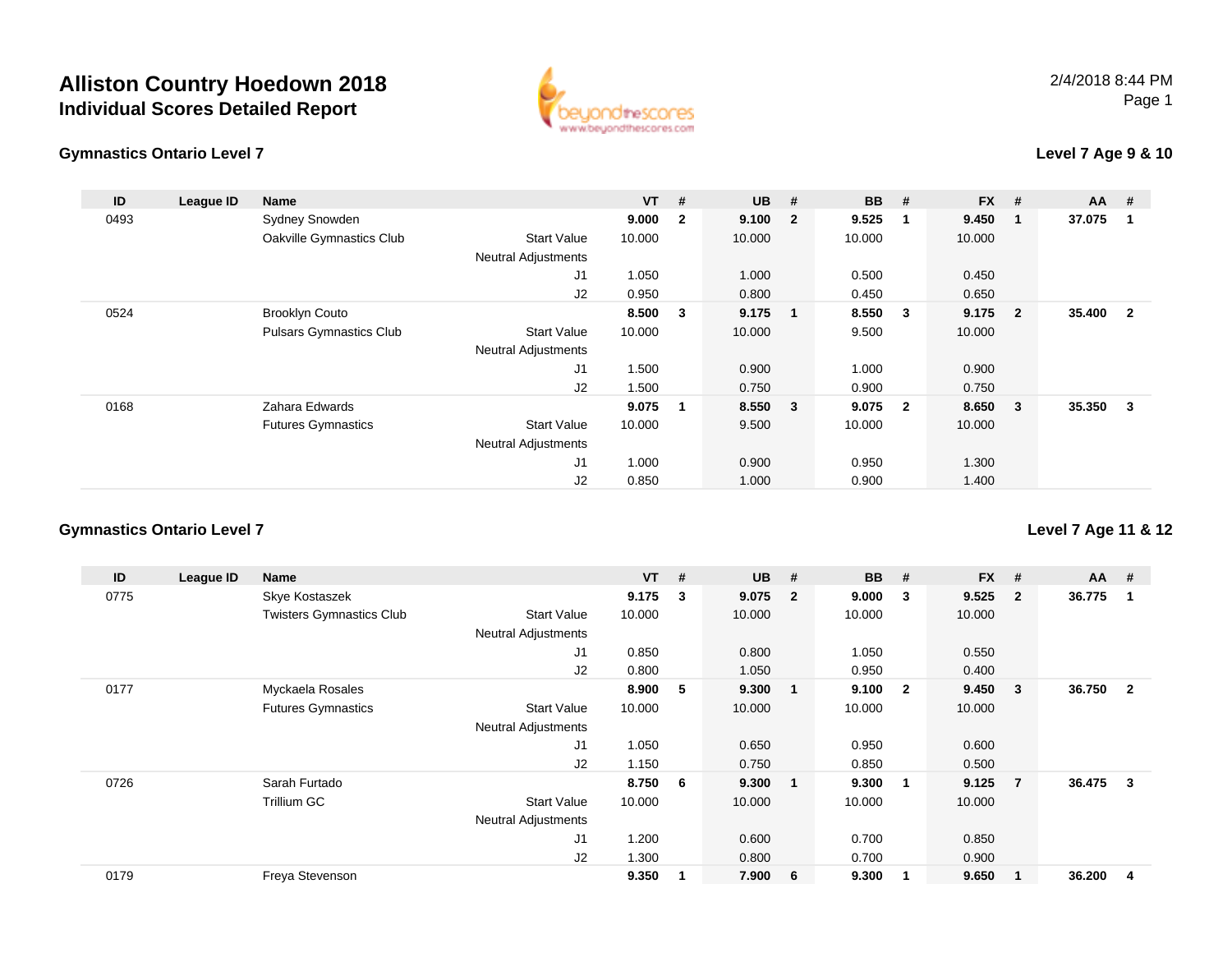



#### **Level 7 Age 9 & 10**

| ID   | League ID | <b>Name</b>                    |                            | $VT$ # |                | <b>UB</b> | #                       | <b>BB</b> | #                       | <b>FX</b> | #                       | <b>AA</b> | - #                     |
|------|-----------|--------------------------------|----------------------------|--------|----------------|-----------|-------------------------|-----------|-------------------------|-----------|-------------------------|-----------|-------------------------|
| 0493 |           | Sydney Snowden                 |                            | 9.000  | $\overline{2}$ | 9.100     | $\overline{2}$          | 9.525     | - 1                     | 9.450     | $\blacksquare$ 1        | 37.075    | -1                      |
|      |           | Oakville Gymnastics Club       | <b>Start Value</b>         | 10.000 |                | 10.000    |                         | 10.000    |                         | 10.000    |                         |           |                         |
|      |           |                                | <b>Neutral Adjustments</b> |        |                |           |                         |           |                         |           |                         |           |                         |
|      |           |                                | J <sub>1</sub>             | 1.050  |                | 1.000     |                         | 0.500     |                         | 0.450     |                         |           |                         |
|      |           |                                | J2                         | 0.950  |                | 0.800     |                         | 0.450     |                         | 0.650     |                         |           |                         |
| 0524 |           | <b>Brooklyn Couto</b>          |                            | 8.500  | 3              | 9.175     | $\mathbf 1$             | 8.550     | $\mathbf{3}$            | 9.175     | $\overline{\mathbf{2}}$ | 35.400    | $\overline{\mathbf{2}}$ |
|      |           | <b>Pulsars Gymnastics Club</b> | <b>Start Value</b>         | 10.000 |                | 10.000    |                         | 9.500     |                         | 10.000    |                         |           |                         |
|      |           |                                | <b>Neutral Adjustments</b> |        |                |           |                         |           |                         |           |                         |           |                         |
|      |           |                                | J <sub>1</sub>             | 1.500  |                | 0.900     |                         | 1.000     |                         | 0.900     |                         |           |                         |
|      |           |                                | J2                         | 1.500  |                | 0.750     |                         | 0.900     |                         | 0.750     |                         |           |                         |
| 0168 |           | Zahara Edwards                 |                            | 9.075  | 1              | 8.550     | $\overline{\mathbf{3}}$ | 9.075     | $\overline{\mathbf{2}}$ | 8.650     | $\overline{\mathbf{3}}$ | 35.350    | - 3                     |
|      |           | <b>Futures Gymnastics</b>      | <b>Start Value</b>         | 10.000 |                | 9.500     |                         | 10.000    |                         | 10.000    |                         |           |                         |
|      |           |                                | <b>Neutral Adjustments</b> |        |                |           |                         |           |                         |           |                         |           |                         |
|      |           |                                | J1                         | 1.000  |                | 0.900     |                         | 0.950     |                         | 1.300     |                         |           |                         |
|      |           |                                | J2                         | 0.850  |                | 1.000     |                         | 0.900     |                         | 1.400     |                         |           |                         |

#### **Gymnastics Ontario Level 7**

**ID League ID Name VT # UB # BB # FX # AA #** 0775 Skye Kostaszek **9.175 <sup>3</sup> 9.075 <sup>2</sup> 9.000 <sup>3</sup> 9.525 <sup>2</sup> 36.775 <sup>1</sup>** Twisters Gymnastics Clubb 3tart Value 10.000 10.000 10.000 10.000 10.000 Neutral Adjustments J1 0.850 0.800 1.050 0.550 J2 0.800 1.050 0.950 0.400 0177 Myckaela Rosales **8.900 <sup>5</sup> 9.300 <sup>1</sup> 9.100 <sup>2</sup> 9.450 <sup>3</sup> 36.750 <sup>2</sup>** Futures Gymnastics Start Valuee 10.000 10.000 10.000 10.000 Neutral Adjustments J1 1.050 0.650 0.950 0.600 J2 1.150 0.750 0.850 0.500 0726 Sarah Furtado **8.750 <sup>6</sup> 9.300 <sup>1</sup> 9.300 <sup>1</sup> 9.125 <sup>7</sup> 36.475 <sup>3</sup>** Trillium GCC 313 Start Value 10.000 10.000 10.000 10.000 10.000 Neutral Adjustments J1 1.200 0.600 0.700 0.850 J2 1.300 0.800 0.700 0.900 0179Freya Stevenson **9.350 <sup>1</sup> 7.900 <sup>6</sup> 9.300 <sup>1</sup> 9.650 <sup>1</sup> 36.200 <sup>4</sup>**

**Level 7 Age 11 & 12**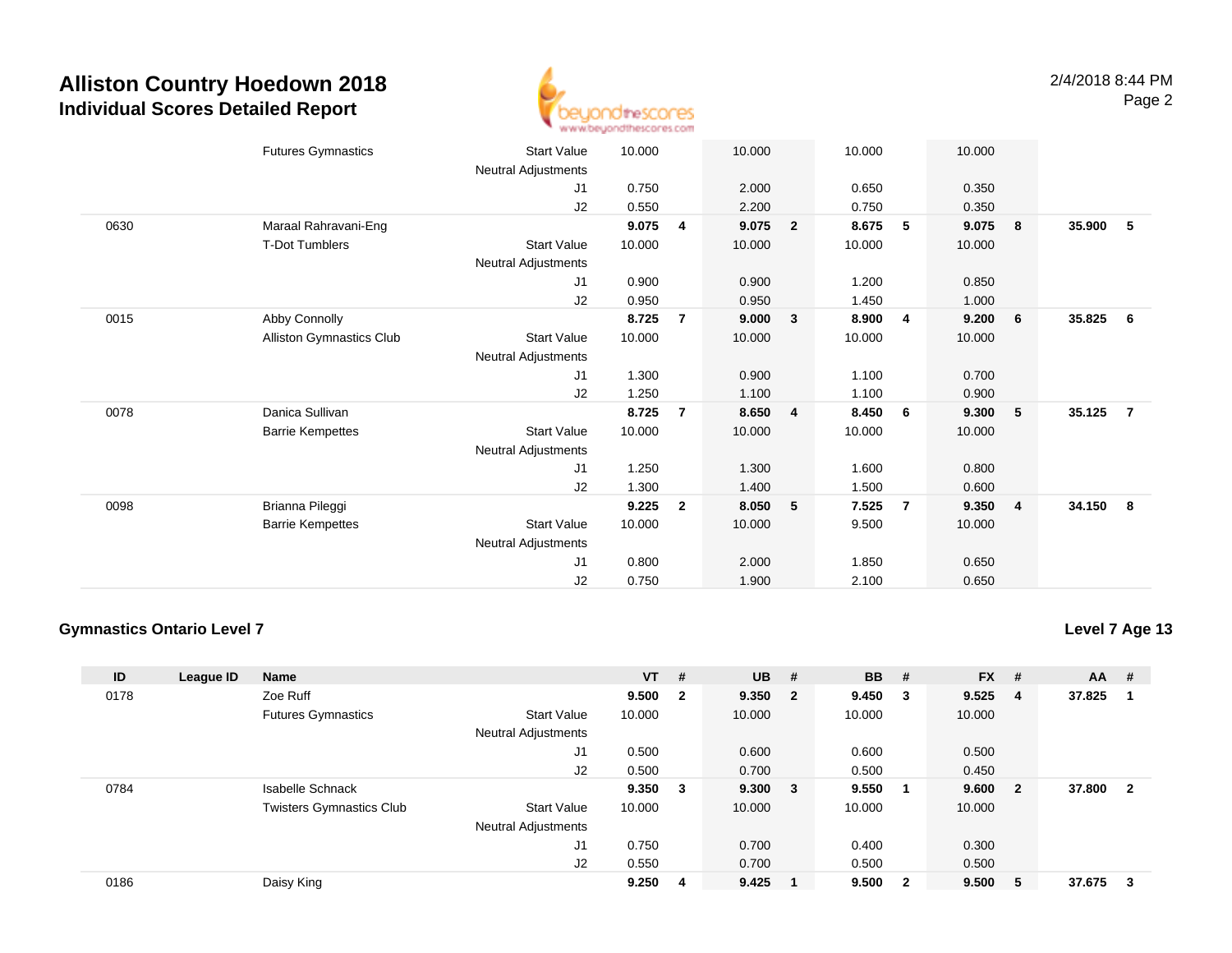

|      | <b>Futures Gymnastics</b> | <b>Start Value</b>  | 10.000 |                | 10.000 |                | 10.000 |                | 10.000 |                |        |                |
|------|---------------------------|---------------------|--------|----------------|--------|----------------|--------|----------------|--------|----------------|--------|----------------|
|      |                           | Neutral Adjustments |        |                |        |                |        |                |        |                |        |                |
|      |                           | J <sub>1</sub>      | 0.750  |                | 2.000  |                | 0.650  |                | 0.350  |                |        |                |
|      |                           | J2                  | 0.550  |                | 2.200  |                | 0.750  |                | 0.350  |                |        |                |
| 0630 | Maraal Rahravani-Eng      |                     | 9.075  | 4              | 9.075  | $\overline{2}$ | 8.675  | 5              | 9.075  | 8              | 35.900 | -5             |
|      | T-Dot Tumblers            | Start Value         | 10.000 |                | 10.000 |                | 10.000 |                | 10.000 |                |        |                |
|      |                           | Neutral Adjustments |        |                |        |                |        |                |        |                |        |                |
|      |                           | J1                  | 0.900  |                | 0.900  |                | 1.200  |                | 0.850  |                |        |                |
|      |                           | J2                  | 0.950  |                | 0.950  |                | 1.450  |                | 1.000  |                |        |                |
| 0015 | Abby Connolly             |                     | 8.725  | $\overline{7}$ | 9.000  | 3              | 8.900  | $\overline{4}$ | 9.200  | 6              | 35.825 | - 6            |
|      | Alliston Gymnastics Club  | <b>Start Value</b>  | 10.000 |                | 10.000 |                | 10.000 |                | 10.000 |                |        |                |
|      |                           | Neutral Adjustments |        |                |        |                |        |                |        |                |        |                |
|      |                           | J1                  | 1.300  |                | 0.900  |                | 1.100  |                | 0.700  |                |        |                |
|      |                           | J2                  | 1.250  |                | 1.100  |                | 1.100  |                | 0.900  |                |        |                |
| 0078 | Danica Sullivan           |                     | 8.725  | 7              | 8.650  | 4              | 8.450  | 6              | 9.300  | - 5            | 35.125 | $\overline{7}$ |
|      | <b>Barrie Kempettes</b>   | <b>Start Value</b>  | 10.000 |                | 10.000 |                | 10.000 |                | 10.000 |                |        |                |
|      |                           | Neutral Adjustments |        |                |        |                |        |                |        |                |        |                |
|      |                           | J1                  | 1.250  |                | 1.300  |                | 1.600  |                | 0.800  |                |        |                |
|      |                           | J2                  | 1.300  |                | 1.400  |                | 1.500  |                | 0.600  |                |        |                |
| 0098 | Brianna Pileggi           |                     | 9.225  | $\overline{2}$ | 8.050  | 5              | 7.525  | $\overline{7}$ | 9.350  | $\overline{4}$ | 34.150 | - 8            |
|      | <b>Barrie Kempettes</b>   | <b>Start Value</b>  | 10.000 |                | 10.000 |                | 9.500  |                | 10.000 |                |        |                |
|      |                           | Neutral Adjustments |        |                |        |                |        |                |        |                |        |                |
|      |                           | J1                  | 0.800  |                | 2.000  |                | 1.850  |                | 0.650  |                |        |                |
|      |                           | J2                  | 0.750  |                | 1.900  |                | 2.100  |                | 0.650  |                |        |                |
|      |                           |                     |        |                |        |                |        |                |        |                |        |                |

#### **Gymnastics Ontario Level 7**

**Level 7 Age 13**

| ID   | League ID | <b>Name</b>                     |                            | $VT$ # |                | <b>UB</b> | #      | <b>BB</b> | #                       | <b>FX</b> | #  | <b>AA</b> | #            |
|------|-----------|---------------------------------|----------------------------|--------|----------------|-----------|--------|-----------|-------------------------|-----------|----|-----------|--------------|
| 0178 |           | Zoe Ruff                        |                            | 9.500  | $\overline{2}$ | 9.350 2   |        | 9.450     | $_{3}$                  | 9.525     | -4 | 37.825    |              |
|      |           | <b>Futures Gymnastics</b>       | <b>Start Value</b>         | 10.000 |                | 10.000    |        | 10.000    |                         | 10.000    |    |           |              |
|      |           |                                 | Neutral Adjustments        |        |                |           |        |           |                         |           |    |           |              |
|      |           |                                 | J1                         | 0.500  |                | 0.600     |        | 0.600     |                         | 0.500     |    |           |              |
|      |           |                                 | J2                         | 0.500  |                | 0.700     |        | 0.500     |                         | 0.450     |    |           |              |
| 0784 |           | <b>Isabelle Schnack</b>         |                            | 9.350  | -3             | 9.300     | $_{3}$ | 9.550     |                         | 9.600     | -2 | 37.800    | $\mathbf{2}$ |
|      |           | <b>Twisters Gymnastics Club</b> | <b>Start Value</b>         | 10.000 |                | 10.000    |        | 10.000    |                         | 10.000    |    |           |              |
|      |           |                                 | <b>Neutral Adjustments</b> |        |                |           |        |           |                         |           |    |           |              |
|      |           |                                 | J <sub>1</sub>             | 0.750  |                | 0.700     |        | 0.400     |                         | 0.300     |    |           |              |
|      |           |                                 | J2                         | 0.550  |                | 0.700     |        | 0.500     |                         | 0.500     |    |           |              |
| 0186 |           | Daisy King                      |                            | 9.250  | 4              | 9.425     |        | 9.500     | $\overline{\mathbf{2}}$ | 9.500     | 5  | 37.675    | 3            |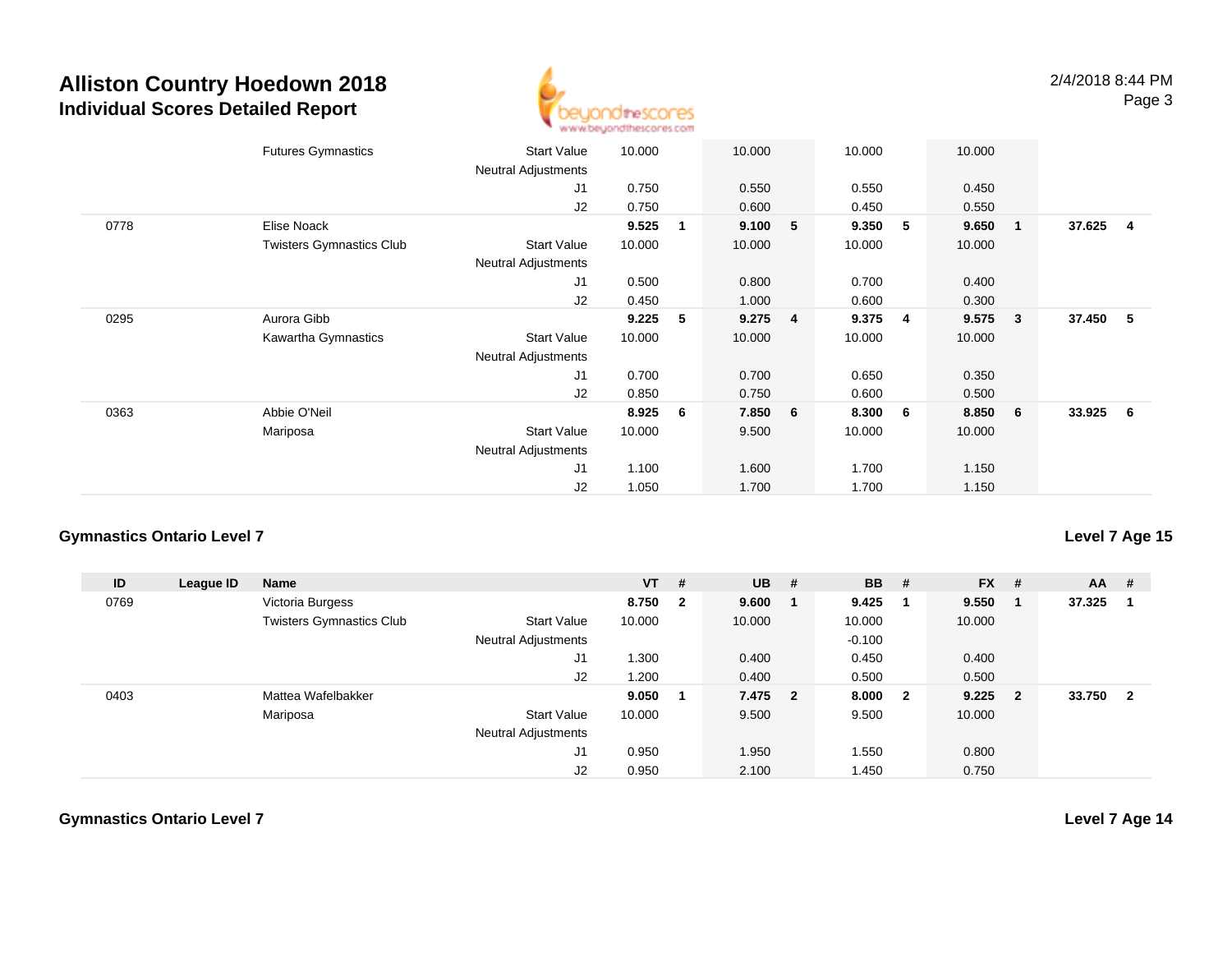

|      | <b>Futures Gymnastics</b>       | <b>Start Value</b><br><b>Neutral Adjustments</b> | 10.000 |              | 10.000    |   | 10.000 |   | 10.000 |                 |          |     |
|------|---------------------------------|--------------------------------------------------|--------|--------------|-----------|---|--------|---|--------|-----------------|----------|-----|
|      |                                 | J1                                               | 0.750  |              | 0.550     |   | 0.550  |   | 0.450  |                 |          |     |
|      |                                 | J2                                               | 0.750  |              | 0.600     |   | 0.450  |   | 0.550  |                 |          |     |
| 0778 | Elise Noack                     |                                                  | 9.525  | $\mathbf{1}$ | 9.100     | 5 | 9.350  | 5 | 9.650  | $\blacksquare$  | 37.625   | - 4 |
|      | <b>Twisters Gymnastics Club</b> | <b>Start Value</b>                               | 10.000 |              | 10.000    |   | 10.000 |   | 10.000 |                 |          |     |
|      |                                 | <b>Neutral Adjustments</b>                       |        |              |           |   |        |   |        |                 |          |     |
|      |                                 | J <sub>1</sub>                                   | 0.500  |              | 0.800     |   | 0.700  |   | 0.400  |                 |          |     |
|      |                                 | J2                                               | 0.450  |              | 1.000     |   | 0.600  |   | 0.300  |                 |          |     |
| 0295 | Aurora Gibb                     |                                                  | 9.225  | 5            | $9.275$ 4 |   | 9.375  | 4 | 9.575  | 3 <sup>°</sup>  | 37.450 5 |     |
|      | Kawartha Gymnastics             | <b>Start Value</b>                               | 10.000 |              | 10.000    |   | 10.000 |   | 10.000 |                 |          |     |
|      |                                 | <b>Neutral Adjustments</b>                       |        |              |           |   |        |   |        |                 |          |     |
|      |                                 | J1                                               | 0.700  |              | 0.700     |   | 0.650  |   | 0.350  |                 |          |     |
|      |                                 | J2                                               | 0.850  |              | 0.750     |   | 0.600  |   | 0.500  |                 |          |     |
| 0363 | Abbie O'Neil                    |                                                  | 8.925  | 6            | 7.850 6   |   | 8.300  | 6 | 8.850  | $6\overline{6}$ | 33.925 6 |     |
|      | Mariposa                        | <b>Start Value</b>                               | 10.000 |              | 9.500     |   | 10.000 |   | 10.000 |                 |          |     |
|      |                                 | <b>Neutral Adjustments</b>                       |        |              |           |   |        |   |        |                 |          |     |
|      |                                 | J <sub>1</sub>                                   | 1.100  |              | 1.600     |   | 1.700  |   | 1.150  |                 |          |     |
|      |                                 | J2                                               | 1.050  |              | 1.700     |   | 1.700  |   | 1.150  |                 |          |     |

#### **Gymnastics Ontario Level 7**

**ID League ID Name VT # UB # BB # FX # AA #** 0769 Victoria Burgess **8.750 <sup>2</sup> 9.600 <sup>1</sup> 9.425 <sup>1</sup> 9.550 <sup>1</sup> 37.325 <sup>1</sup>** Twisters Gymnastics Clubb 3tart Value 10.000 10.000 10.000 10.000 10.000 Neutral Adjustments $-0.100$ 0.450 J1 1.300 0.400 0.450 0.400 J2 1.200 0.400 0.500 0.500 0403 Mattea Wafelbakker **9.050 <sup>1</sup> 7.475 <sup>2</sup> 8.000 <sup>2</sup> 9.225 <sup>2</sup> 33.750 <sup>2</sup>** Mariposa Start Value 10.000 9.500 9.500 10.000 Neutral Adjustments J1 0.950 1.950 1.550 0.800 J20.950 2.100 1.450 0.750

**Level 7 Age 15**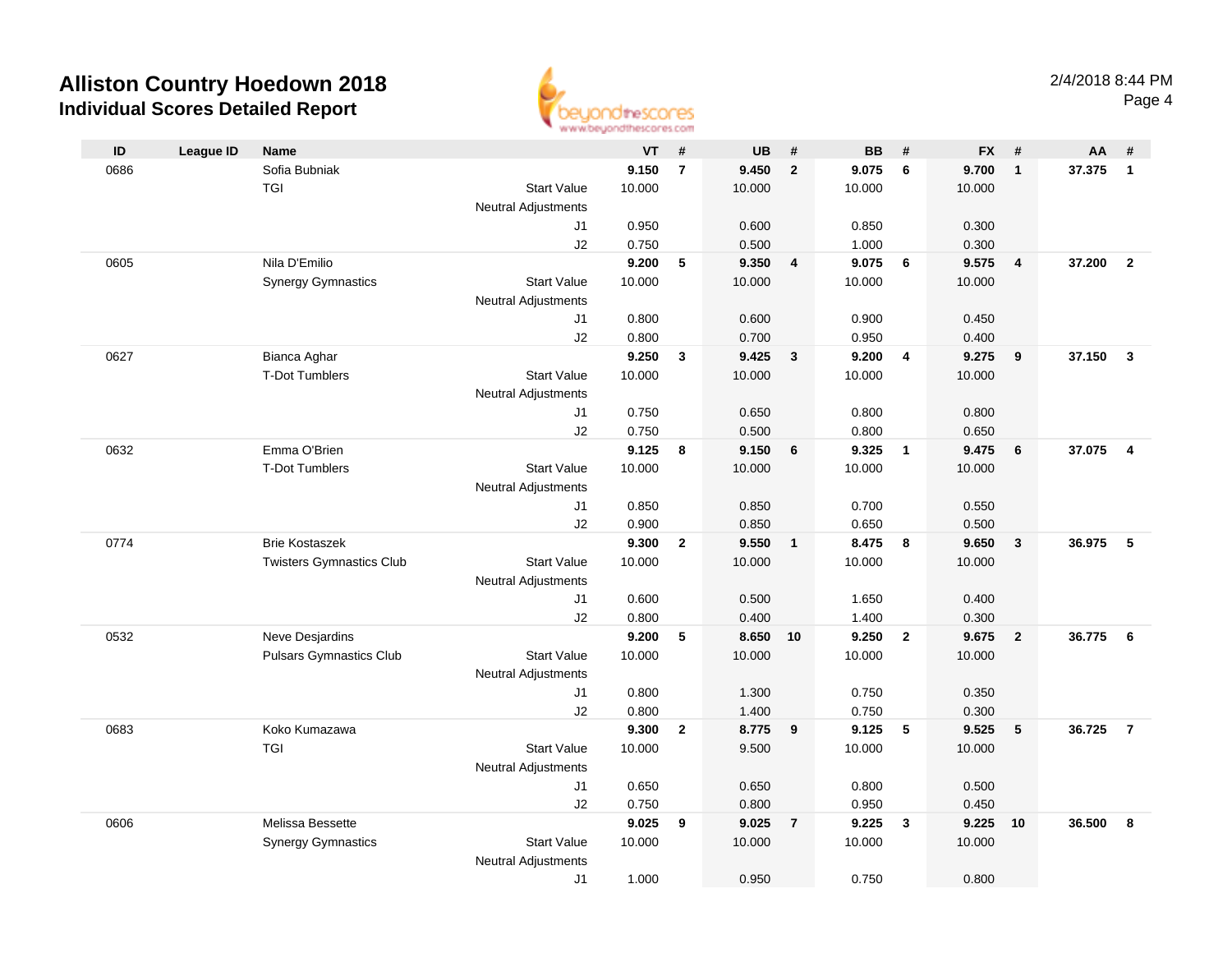

| ID   | <b>League ID</b> | Name                            |                            | <b>VT</b> | #              | <b>UB</b> | #              | <b>BB</b> | #                       | <b>FX</b> | #                       | AA     | #                       |
|------|------------------|---------------------------------|----------------------------|-----------|----------------|-----------|----------------|-----------|-------------------------|-----------|-------------------------|--------|-------------------------|
| 0686 |                  | Sofia Bubniak                   |                            | 9.150     | $\overline{7}$ | 9.450     | $\overline{2}$ | 9.075     | 6                       | 9.700     | $\overline{1}$          | 37.375 | $\overline{1}$          |
|      |                  | <b>TGI</b>                      | <b>Start Value</b>         | 10.000    |                | 10.000    |                | 10.000    |                         | 10.000    |                         |        |                         |
|      |                  |                                 | <b>Neutral Adjustments</b> |           |                |           |                |           |                         |           |                         |        |                         |
|      |                  |                                 | J1                         | 0.950     |                | 0.600     |                | 0.850     |                         | 0.300     |                         |        |                         |
|      |                  |                                 | J2                         | 0.750     |                | 0.500     |                | 1.000     |                         | 0.300     |                         |        |                         |
| 0605 |                  | Nila D'Emilio                   |                            | 9.200     | 5              | 9.350     | $\overline{4}$ | 9.075     | 6                       | 9.575     | $\overline{4}$          | 37.200 | $\overline{2}$          |
|      |                  | <b>Synergy Gymnastics</b>       | <b>Start Value</b>         | 10.000    |                | 10.000    |                | 10.000    |                         | 10.000    |                         |        |                         |
|      |                  |                                 | <b>Neutral Adjustments</b> |           |                |           |                |           |                         |           |                         |        |                         |
|      |                  |                                 | J1                         | 0.800     |                | 0.600     |                | 0.900     |                         | 0.450     |                         |        |                         |
|      |                  |                                 | J2                         | 0.800     |                | 0.700     |                | 0.950     |                         | 0.400     |                         |        |                         |
| 0627 |                  | Bianca Aghar                    |                            | 9.250     | 3              | 9.425     | $\mathbf{3}$   | 9.200     | $\overline{4}$          | 9.275     | 9                       | 37.150 | $\mathbf{3}$            |
|      |                  | <b>T-Dot Tumblers</b>           | <b>Start Value</b>         | 10.000    |                | 10.000    |                | 10.000    |                         | 10.000    |                         |        |                         |
|      |                  |                                 | <b>Neutral Adjustments</b> |           |                |           |                |           |                         |           |                         |        |                         |
|      |                  |                                 | J1                         | 0.750     |                | 0.650     |                | 0.800     |                         | 0.800     |                         |        |                         |
|      |                  |                                 | J2                         | 0.750     |                | 0.500     |                | 0.800     |                         | 0.650     |                         |        |                         |
| 0632 |                  | Emma O'Brien                    |                            | 9.125     | 8              | 9.150     | 6              | 9.325     | $\overline{\mathbf{1}}$ | 9.475     | 6                       | 37.075 | $\overline{\mathbf{4}}$ |
|      |                  | <b>T-Dot Tumblers</b>           | <b>Start Value</b>         | 10.000    |                | 10.000    |                | 10.000    |                         | 10.000    |                         |        |                         |
|      |                  |                                 | <b>Neutral Adjustments</b> |           |                |           |                |           |                         |           |                         |        |                         |
|      |                  |                                 | J1                         | 0.850     |                | 0.850     |                | 0.700     |                         | 0.550     |                         |        |                         |
|      |                  |                                 | J2                         | 0.900     |                | 0.850     |                | 0.650     |                         | 0.500     |                         |        |                         |
| 0774 |                  | <b>Brie Kostaszek</b>           |                            | 9.300     | $\mathbf{2}$   | 9.550     | $\mathbf{1}$   | 8.475     | 8                       | 9.650     | $\overline{\mathbf{3}}$ | 36.975 | 5                       |
|      |                  | <b>Twisters Gymnastics Club</b> | <b>Start Value</b>         | 10.000    |                | 10.000    |                | 10.000    |                         | 10.000    |                         |        |                         |
|      |                  |                                 | <b>Neutral Adjustments</b> |           |                |           |                |           |                         |           |                         |        |                         |
|      |                  |                                 | J1                         | 0.600     |                | 0.500     |                | 1.650     |                         | 0.400     |                         |        |                         |
|      |                  |                                 | J2                         | 0.800     |                | 0.400     |                | 1.400     |                         | 0.300     |                         |        |                         |
| 0532 |                  | Neve Desjardins                 |                            | 9.200     | 5              | 8.650     | 10             | 9.250     | $\overline{2}$          | 9.675     | $\overline{2}$          | 36.775 | 6                       |
|      |                  | <b>Pulsars Gymnastics Club</b>  | <b>Start Value</b>         | 10.000    |                | 10.000    |                | 10.000    |                         | 10.000    |                         |        |                         |
|      |                  |                                 | <b>Neutral Adjustments</b> |           |                |           |                |           |                         |           |                         |        |                         |
|      |                  |                                 | J1                         | 0.800     |                | 1.300     |                | 0.750     |                         | 0.350     |                         |        |                         |
|      |                  |                                 | J2                         | 0.800     |                | 1.400     |                | 0.750     |                         | 0.300     |                         |        |                         |
| 0683 |                  | Koko Kumazawa                   |                            | 9.300     | $\overline{2}$ | 8.775     | 9              | 9.125     | 5                       | 9.525     | 5                       | 36.725 | $\overline{7}$          |
|      |                  | <b>TGI</b>                      | <b>Start Value</b>         | 10.000    |                | 9.500     |                | 10.000    |                         | 10.000    |                         |        |                         |
|      |                  |                                 | <b>Neutral Adjustments</b> |           |                |           |                |           |                         |           |                         |        |                         |
|      |                  |                                 | J1                         | 0.650     |                | 0.650     |                | 0.800     |                         | 0.500     |                         |        |                         |
|      |                  |                                 | J2                         | 0.750     |                | 0.800     |                | 0.950     |                         | 0.450     |                         |        |                         |
| 0606 |                  | Melissa Bessette                |                            | 9.025     | 9              | 9.025     | $\overline{7}$ | 9.225     | $\mathbf{3}$            | 9.225     | 10                      | 36.500 | 8                       |
|      |                  | <b>Synergy Gymnastics</b>       | <b>Start Value</b>         | 10.000    |                | 10.000    |                | 10.000    |                         | 10.000    |                         |        |                         |
|      |                  |                                 | <b>Neutral Adjustments</b> |           |                |           |                |           |                         |           |                         |        |                         |
|      |                  |                                 | J1                         | 1.000     |                | 0.950     |                | 0.750     |                         | 0.800     |                         |        |                         |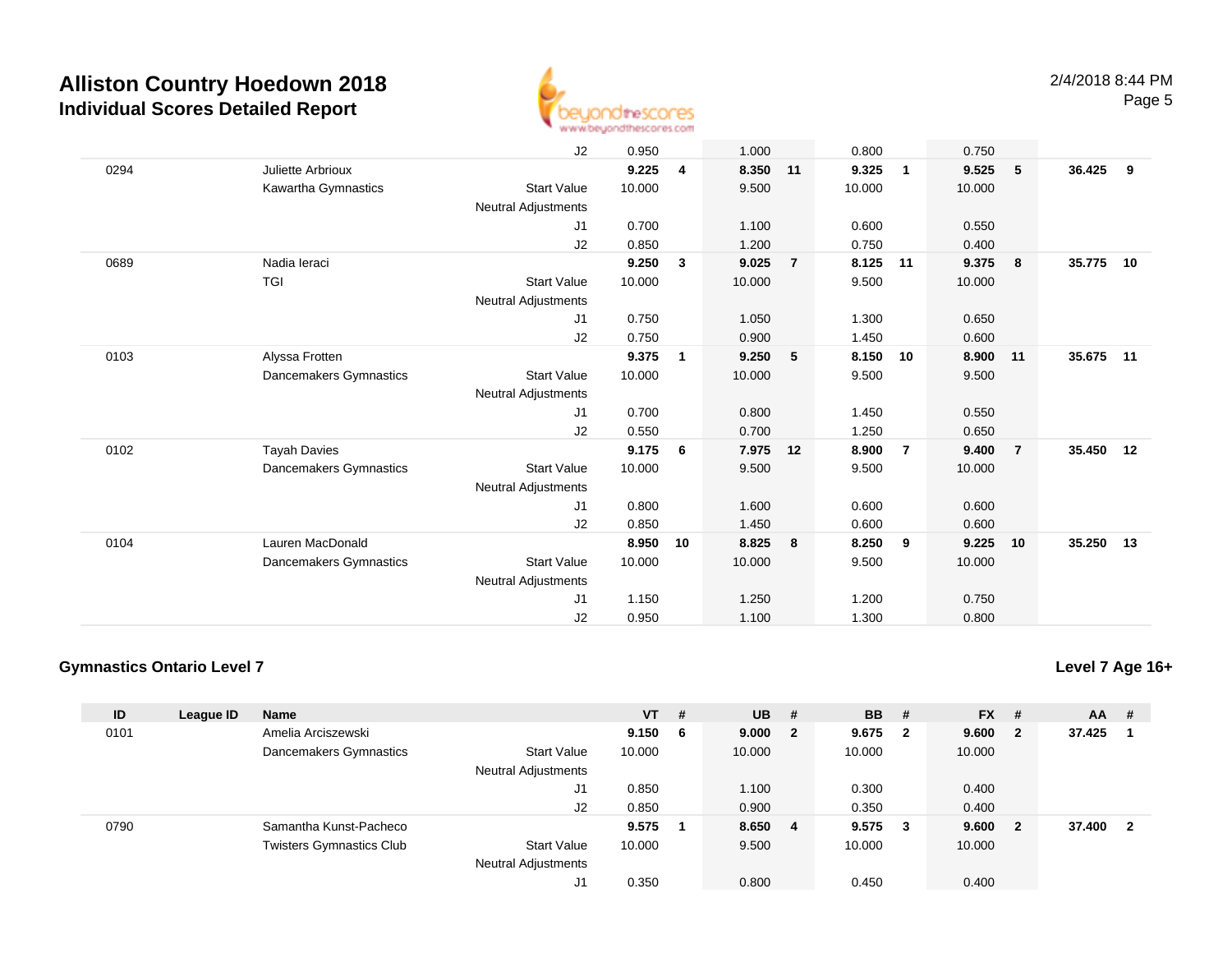

|      |                        | J2                         | 0.950  |              | 1.000    |                | 0.800  |                | 0.750  |                 |           |     |
|------|------------------------|----------------------------|--------|--------------|----------|----------------|--------|----------------|--------|-----------------|-----------|-----|
| 0294 | Juliette Arbrioux      |                            | 9.225  | 4            | 8.350 11 |                | 9.325  | $\mathbf{1}$   | 9.525  | $5\phantom{.0}$ | 36.425    | - 9 |
|      | Kawartha Gymnastics    | <b>Start Value</b>         | 10.000 |              | 9.500    |                | 10.000 |                | 10.000 |                 |           |     |
|      |                        | Neutral Adjustments        |        |              |          |                |        |                |        |                 |           |     |
|      |                        | J1                         | 0.700  |              | 1.100    |                | 0.600  |                | 0.550  |                 |           |     |
|      |                        | J2                         | 0.850  |              | 1.200    |                | 0.750  |                | 0.400  |                 |           |     |
| 0689 | Nadia Ieraci           |                            | 9.250  | $\mathbf{3}$ | 9.025    | $\overline{7}$ | 8.125  | 11             | 9.375  | $\bf{8}$        | 35.775    | 10  |
|      | <b>TGI</b>             | <b>Start Value</b>         | 10.000 |              | 10.000   |                | 9.500  |                | 10.000 |                 |           |     |
|      |                        | Neutral Adjustments        |        |              |          |                |        |                |        |                 |           |     |
|      |                        | J1                         | 0.750  |              | 1.050    |                | 1.300  |                | 0.650  |                 |           |     |
|      |                        | J2                         | 0.750  |              | 0.900    |                | 1.450  |                | 0.600  |                 |           |     |
| 0103 | Alyssa Frotten         |                            | 9.375  | $\mathbf{1}$ | 9.250    | 5              | 8.150  | 10             | 8.900  | 11              | 35.675 11 |     |
|      | Dancemakers Gymnastics | <b>Start Value</b>         | 10.000 |              | 10.000   |                | 9.500  |                | 9.500  |                 |           |     |
|      |                        | <b>Neutral Adjustments</b> |        |              |          |                |        |                |        |                 |           |     |
|      |                        | J1                         | 0.700  |              | 0.800    |                | 1.450  |                | 0.550  |                 |           |     |
|      |                        | J2                         | 0.550  |              | 0.700    |                | 1.250  |                | 0.650  |                 |           |     |
| 0102 | <b>Tayah Davies</b>    |                            | 9.175  | 6            | 7.975    | 12             | 8.900  | $\overline{7}$ | 9.400  | $\overline{7}$  | 35.450 12 |     |
|      | Dancemakers Gymnastics | <b>Start Value</b>         | 10.000 |              | 9.500    |                | 9.500  |                | 10.000 |                 |           |     |
|      |                        | <b>Neutral Adjustments</b> |        |              |          |                |        |                |        |                 |           |     |
|      |                        | J1                         | 0.800  |              | 1.600    |                | 0.600  |                | 0.600  |                 |           |     |
|      |                        | J2                         | 0.850  |              | 1.450    |                | 0.600  |                | 0.600  |                 |           |     |
| 0104 | Lauren MacDonald       |                            | 8.950  | 10           | 8.825    | 8              | 8.250  | 9              | 9.225  | 10              | 35.250 13 |     |
|      | Dancemakers Gymnastics | <b>Start Value</b>         | 10.000 |              | 10.000   |                | 9.500  |                | 10.000 |                 |           |     |
|      |                        | <b>Neutral Adjustments</b> |        |              |          |                |        |                |        |                 |           |     |
|      |                        | J <sub>1</sub>             | 1.150  |              | 1.250    |                | 1.200  |                | 0.750  |                 |           |     |
|      |                        | J2                         | 0.950  |              | 1.100    |                | 1.300  |                | 0.800  |                 |           |     |

### **Gymnastics Ontario Level 7**

**Level 7 Age 16+**

| ID   | League ID | <b>Name</b>                     |                                                  | $VT$ #         | <b>UB</b>      | #                       | <b>BB</b>      | #                       | <b>FX</b>      | #  | $AA$ # |    |
|------|-----------|---------------------------------|--------------------------------------------------|----------------|----------------|-------------------------|----------------|-------------------------|----------------|----|--------|----|
| 0101 |           | Amelia Arciszewski              |                                                  | 9.150 6        | 9.000          | $\overline{\mathbf{2}}$ | 9.675          | $\overline{\mathbf{2}}$ | 9.600          | -2 | 37.425 |    |
|      |           | Dancemakers Gymnastics          | <b>Start Value</b><br><b>Neutral Adjustments</b> | 10.000         | 10.000         |                         | 10.000         |                         | 10.000         |    |        |    |
|      |           |                                 | J1<br>J2                                         | 0.850<br>0.850 | 1.100<br>0.900 |                         | 0.300<br>0.350 |                         | 0.400<br>0.400 |    |        |    |
| 0790 |           | Samantha Kunst-Pacheco          |                                                  | 9.575          | 8.650          | 4                       | 9.575          | $\mathbf{3}$            | 9.600          | -2 | 37.400 | -2 |
|      |           | <b>Twisters Gymnastics Club</b> | <b>Start Value</b><br><b>Neutral Adjustments</b> | 10.000         | 9.500          |                         | 10.000         |                         | 10.000         |    |        |    |
|      |           |                                 | J1                                               | 0.350          | 0.800          |                         | 0.450          |                         | 0.400          |    |        |    |